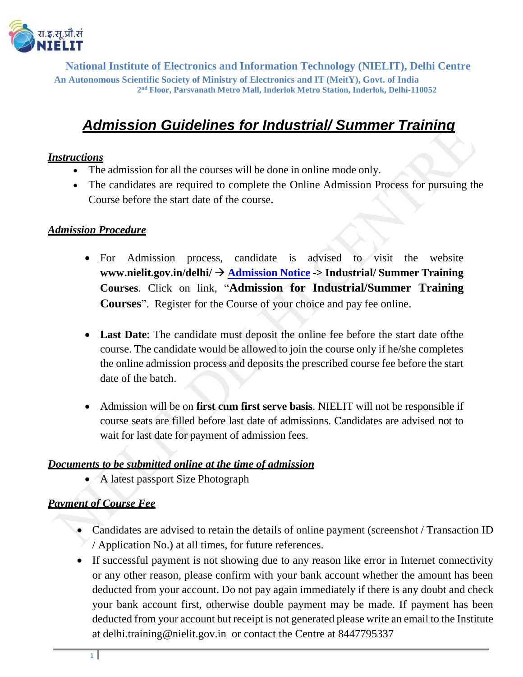

**National Institute of Electronics and Information Technology (NIELIT), Delhi Centre An Autonomous Scientific Society of Ministry of Electronics and IT (MeitY), Govt. of India 2 nd Floor, Parsvanath Metro Mall, Inderlok Metro Station, Inderlok, Delhi-110052**

# *Admission Guidelines for Industrial/ Summer Training*

### *Instructions*

- The admission for all the courses will be done in online mode only.
- The candidates are required to complete the Online Admission Process for pursuing the Course before the start date of the course.

#### *Admission Procedure*

- For Admission process, candidate is advised to visit the website **[www.nielit.gov.in/delhi/](http://www.nielit.gov.in/delhi/)**  $\rightarrow$  **[Admission](https://nielit.gov.in/delhi/content/admission-activities) Notice**  $\rightarrow$  **Industrial/** Summer Training **Courses**. Click on link, "**Admission for Industrial/Summer Training Courses**". Register for the Course of your choice and pay fee online.
- **Last Date**: The candidate must deposit the online fee before the start date ofthe course. The candidate would be allowed to join the course only if he/she completes the online admission process and deposits the prescribed course fee before the start date of the batch.
- Admission will be on **first cum first serve basis**. NIELIT will not be responsible if course seats are filled before last date of admissions. Candidates are advised not to wait for last date for payment of admission fees.

#### *Documents to be submitted online at the time of admission*

A latest passport Size Photograph

# *Payment of Course Fee*

- Candidates are advised to retain the details of online payment (screenshot / Transaction ID / Application No.) at all times, for future references.
- If successful payment is not showing due to any reason like error in Internet connectivity or any other reason, please confirm with your bank account whether the amount has been deducted from your account. Do not pay again immediately if there is any doubt and check your bank account first, otherwise double payment may be made. If payment has been deducted from your account but receipt is not generated please write an email to the Institute at [delhi.training@nielit.gov.in](mailto:delhi.training@nielit.gov.in) or contact the Centre at 8447795337